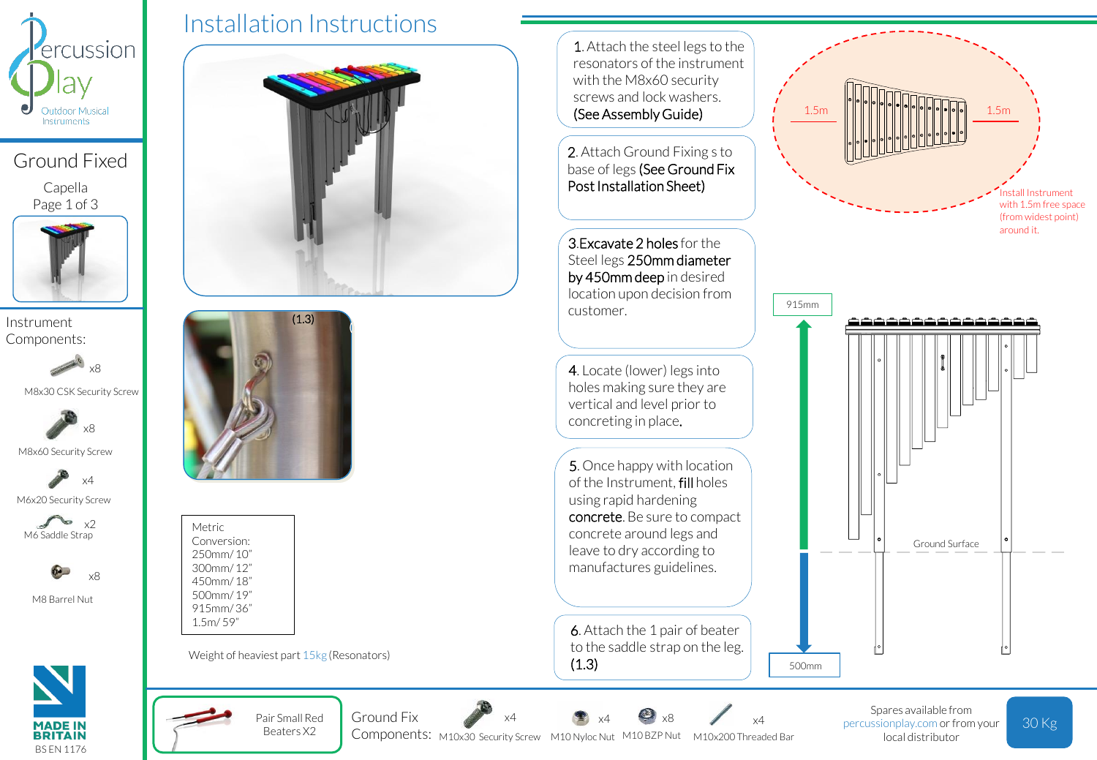

Ground Fixed

Capella Page 1 of 3



Components:



M8x30 CSK Security Screw



M8x60 Security Screw



M6 Saddle Strap x2



M8 Barrel Nut



Installation Instructions

Pair Small Red Beaters X2

Ground Fix

Weight of heaviest part 15kg (Resonators)

Metric Conversion: 250mm/ 10" 300mm/ 12" 450mm/ 18" 500mm/ 19" 915mm/ 36" 1.5m/ 59"



1. Attach the steel legs to the resonators of the instrument with the M8x60 security screws and lock washers. (See Assembly Guide)

2. Attach Ground Fixing s to base of legs (See Ground Fix Post Installation Sheet)

3.Excavate 2 holes for the Steel legs 250mm diameter by 450mm deep in desired location upon decision from customer.

4. Locate (lower) legs into holes making sure they are vertical and level prior to concreting in place.

5. Once happy with location of the Instrument, fill holes using rapid hardening concrete. Be sure to compact concrete around legs and leave to dry according to manufactures guidelines.

6. Attach the 1 pair of beater to the saddle strap on the leg.  $(1.3)$ 

x8

x4

Components: M10x30 Security Screw M10 Nyloc Nut M10 BZP Nut M10x200 Threaded Bar

x4





Spares available from percussionplay.com or from your local distributor

30 Kg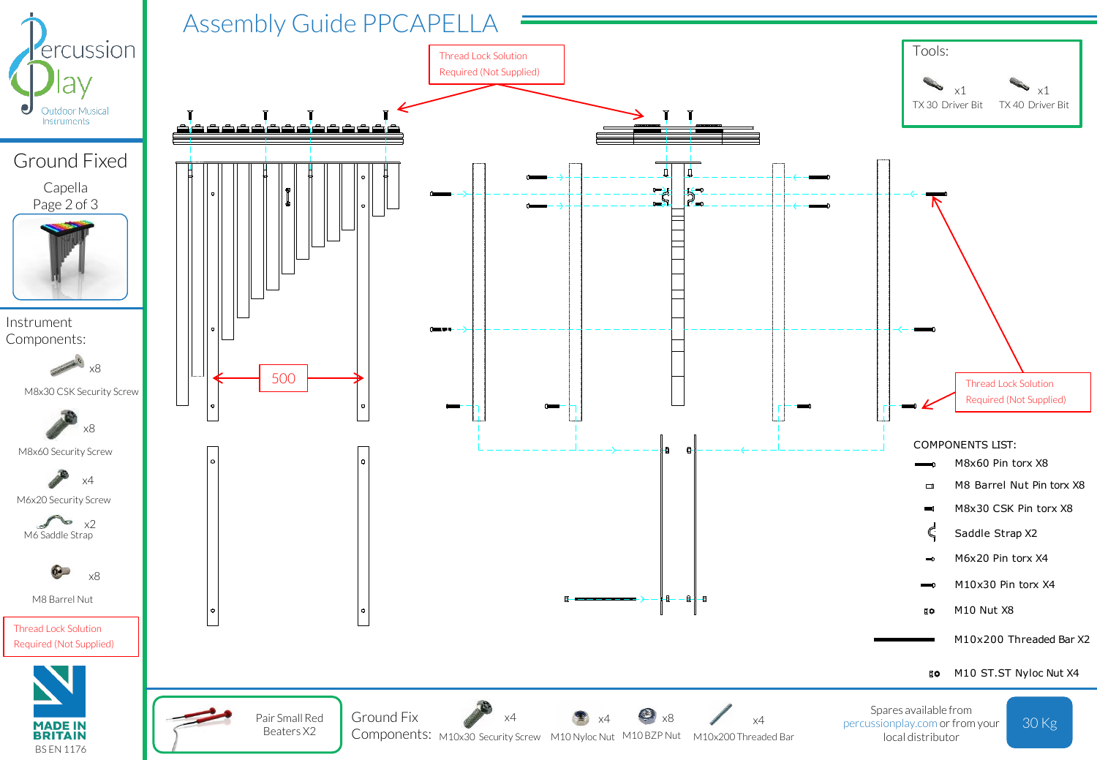